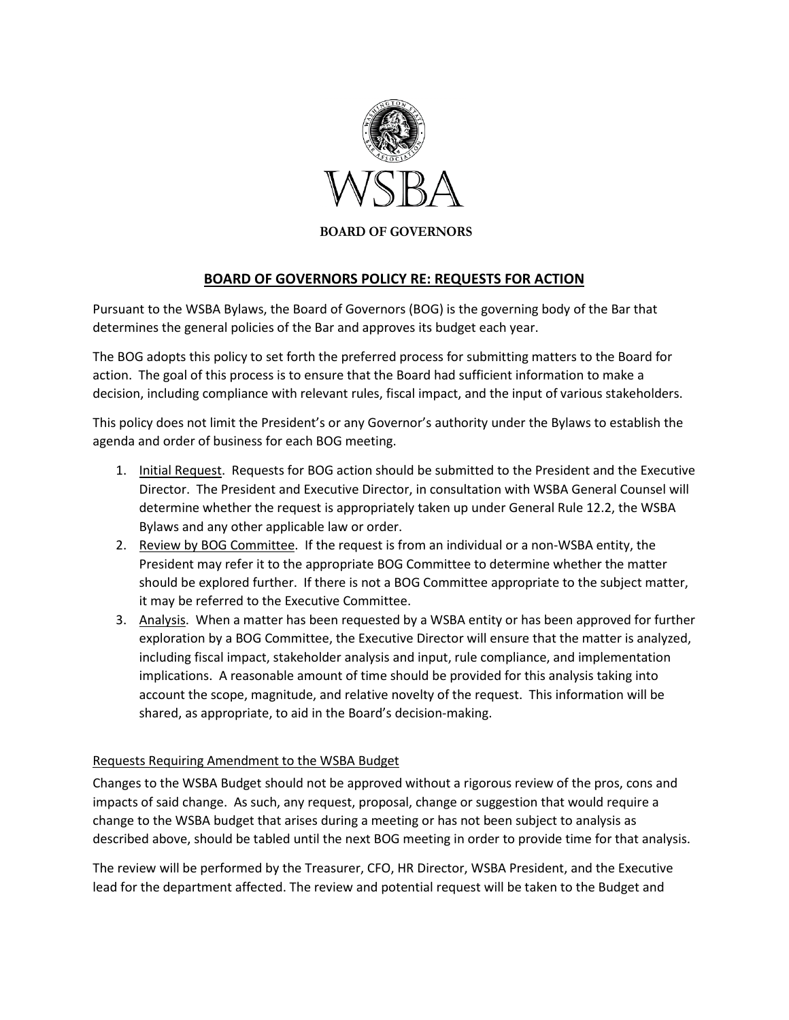

## **BOARD OF GOVERNORS**

## **BOARD OF GOVERNORS POLICY RE: REQUESTS FOR ACTION**

Pursuant to the WSBA Bylaws, the Board of Governors (BOG) is the governing body of the Bar that determines the general policies of the Bar and approves its budget each year.

The BOG adopts this policy to set forth the preferred process for submitting matters to the Board for action. The goal of this process is to ensure that the Board had sufficient information to make a decision, including compliance with relevant rules, fiscal impact, and the input of various stakeholders.

This policy does not limit the President's or any Governor's authority under the Bylaws to establish the agenda and order of business for each BOG meeting.

- 1. Initial Request. Requests for BOG action should be submitted to the President and the Executive Director. The President and Executive Director, in consultation with WSBA General Counsel will determine whether the request is appropriately taken up under General Rule 12.2, the WSBA Bylaws and any other applicable law or order.
- 2. Review by BOG Committee. If the request is from an individual or a non-WSBA entity, the President may refer it to the appropriate BOG Committee to determine whether the matter should be explored further. If there is not a BOG Committee appropriate to the subject matter, it may be referred to the Executive Committee.
- 3. Analysis. When a matter has been requested by a WSBA entity or has been approved for further exploration by a BOG Committee, the Executive Director will ensure that the matter is analyzed, including fiscal impact, stakeholder analysis and input, rule compliance, and implementation implications. A reasonable amount of time should be provided for this analysis taking into account the scope, magnitude, and relative novelty of the request. This information will be shared, as appropriate, to aid in the Board's decision-making.

## Requests Requiring Amendment to the WSBA Budget

Changes to the WSBA Budget should not be approved without a rigorous review of the pros, cons and impacts of said change. As such, any request, proposal, change or suggestion that would require a change to the WSBA budget that arises during a meeting or has not been subject to analysis as described above, should be tabled until the next BOG meeting in order to provide time for that analysis.

The review will be performed by the Treasurer, CFO, HR Director, WSBA President, and the Executive lead for the department affected. The review and potential request will be taken to the Budget and